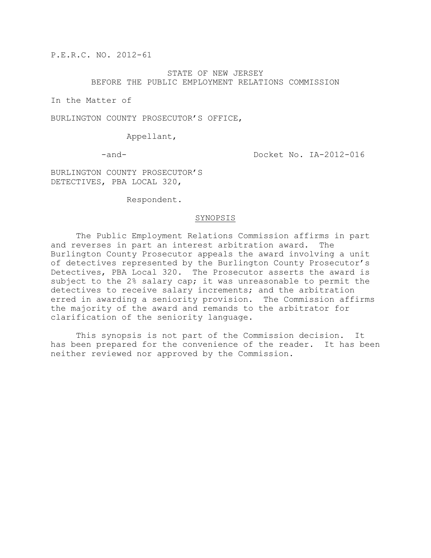P.E.R.C. NO. 2012-61

# STATE OF NEW JERSEY BEFORE THE PUBLIC EMPLOYMENT RELATIONS COMMISSION

In the Matter of

BURLINGTON COUNTY PROSECUTOR'S OFFICE,

Appellant,

-and- Docket No. IA-2012-016

BURLINGTON COUNTY PROSECUTOR'S DETECTIVES, PBA LOCAL 320,

Respondent.

# SYNOPSIS

The Public Employment Relations Commission affirms in part and reverses in part an interest arbitration award. The Burlington County Prosecutor appeals the award involving a unit of detectives represented by the Burlington County Prosecutor's Detectives, PBA Local 320. The Prosecutor asserts the award is subject to the 2% salary cap; it was unreasonable to permit the detectives to receive salary increments; and the arbitration erred in awarding a seniority provision. The Commission affirms the majority of the award and remands to the arbitrator for clarification of the seniority language.

This synopsis is not part of the Commission decision. It has been prepared for the convenience of the reader. It has been neither reviewed nor approved by the Commission.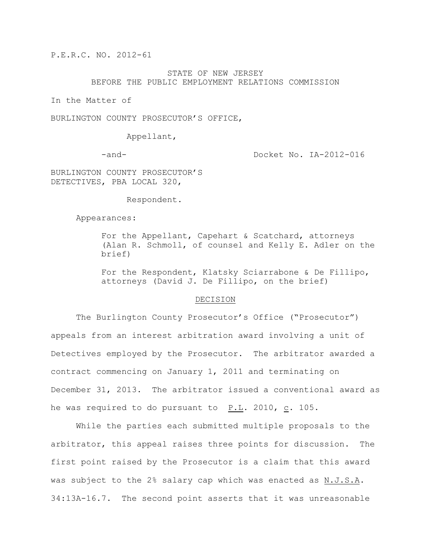P.E.R.C. NO. 2012-61

# STATE OF NEW JERSEY BEFORE THE PUBLIC EMPLOYMENT RELATIONS COMMISSION

In the Matter of

BURLINGTON COUNTY PROSECUTOR'S OFFICE,

Appellant,

-and- Docket No. IA-2012-016

BURLINGTON COUNTY PROSECUTOR'S DETECTIVES, PBA LOCAL 320,

Respondent.

Appearances:

For the Appellant, Capehart & Scatchard, attorneys (Alan R. Schmoll, of counsel and Kelly E. Adler on the brief)

For the Respondent, Klatsky Sciarrabone & De Fillipo, attorneys (David J. De Fillipo, on the brief)

### DECISION

The Burlington County Prosecutor's Office ("Prosecutor") appeals from an interest arbitration award involving a unit of Detectives employed by the Prosecutor. The arbitrator awarded a contract commencing on January 1, 2011 and terminating on December 31, 2013. The arbitrator issued a conventional award as he was required to do pursuant to P.L. 2010, c. 105.

While the parties each submitted multiple proposals to the arbitrator, this appeal raises three points for discussion. The first point raised by the Prosecutor is a claim that this award was subject to the 2% salary cap which was enacted as N.J.S.A. 34:13A-16.7. The second point asserts that it was unreasonable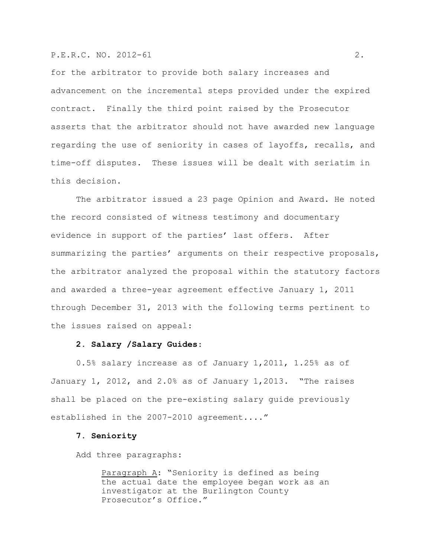# P.E.R.C. NO. 2012-61 2.

for the arbitrator to provide both salary increases and advancement on the incremental steps provided under the expired contract. Finally the third point raised by the Prosecutor asserts that the arbitrator should not have awarded new language regarding the use of seniority in cases of layoffs, recalls, and time-off disputes. These issues will be dealt with seriatim in this decision.

The arbitrator issued a 23 page Opinion and Award. He noted the record consisted of witness testimony and documentary evidence in support of the parties' last offers. After summarizing the parties' arguments on their respective proposals, the arbitrator analyzed the proposal within the statutory factors and awarded a three-year agreement effective January 1, 2011 through December 31, 2013 with the following terms pertinent to the issues raised on appeal:

#### **2. Salary /Salary Guides**:

0.5% salary increase as of January 1,2011, 1.25% as of January 1, 2012, and 2.0% as of January 1,2013. "The raises shall be placed on the pre-existing salary guide previously established in the 2007-2010 agreement...."

# **7. Seniority**

Add three paragraphs:

Paragraph A: "Seniority is defined as being the actual date the employee began work as an investigator at the Burlington County Prosecutor's Office."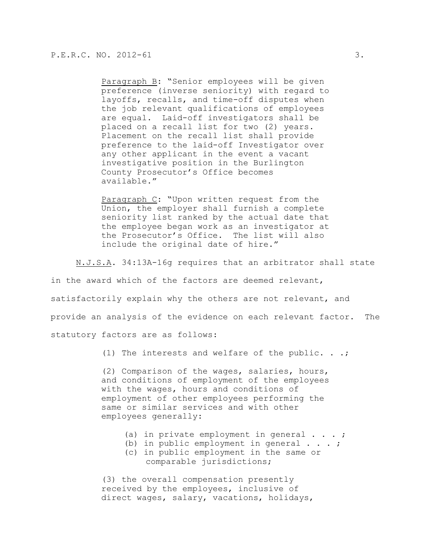Paragraph B: "Senior employees will be given preference (inverse seniority) with regard to layoffs, recalls, and time-off disputes when the job relevant qualifications of employees are equal. Laid-off investigators shall be placed on a recall list for two (2) years. Placement on the recall list shall provide preference to the laid-off Investigator over any other applicant in the event a vacant investigative position in the Burlington County Prosecutor's Office becomes available."

Paragraph C: "Upon written request from the Union, the employer shall furnish a complete seniority list ranked by the actual date that the employee began work as an investigator at the Prosecutor's Office. The list will also include the original date of hire."

N.J.S.A. 34:13A-16g requires that an arbitrator shall state

in the award which of the factors are deemed relevant, satisfactorily explain why the others are not relevant, and provide an analysis of the evidence on each relevant factor. The statutory factors are as follows:

(1) The interests and welfare of the public.  $\ldots$ ;

(2) Comparison of the wages, salaries, hours, and conditions of employment of the employees with the wages, hours and conditions of employment of other employees performing the same or similar services and with other employees generally:

- (a) in private employment in general  $\cdots$ ;
- (b) in public employment in general  $\ldots$ ;
- (c) in public employment in the same or comparable jurisdictions;

(3) the overall compensation presently received by the employees, inclusive of direct wages, salary, vacations, holidays,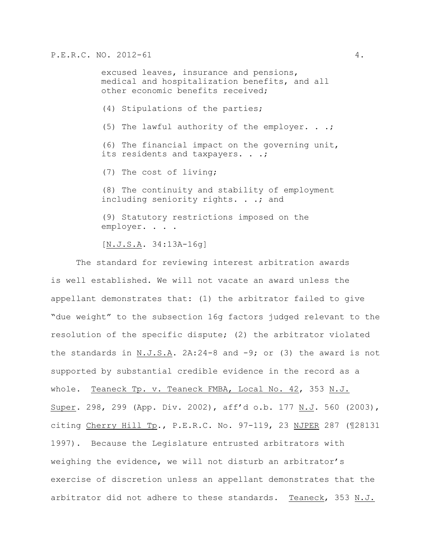excused leaves, insurance and pensions, medical and hospitalization benefits, and all other economic benefits received;

(4) Stipulations of the parties;

(5) The lawful authority of the employer. . .;

(6) The financial impact on the governing unit, its residents and taxpayers. . .;

(7) The cost of living;

(8) The continuity and stability of employment including seniority rights. . .; and

(9) Statutory restrictions imposed on the employer. . . .

[N.J.S.A. 34:13A-16g]

The standard for reviewing interest arbitration awards is well established. We will not vacate an award unless the appellant demonstrates that: (1) the arbitrator failed to give "due weight" to the subsection 16g factors judged relevant to the resolution of the specific dispute; (2) the arbitrator violated the standards in N.J.S.A.  $2A:24-8$  and  $-9$ ; or (3) the award is not supported by substantial credible evidence in the record as a whole. Teaneck Tp. v. Teaneck FMBA, Local No. 42, 353 N.J. Super. 298, 299 (App. Div. 2002), aff'd o.b. 177 N.J. 560 (2003), citing Cherry Hill Tp., P.E.R.C. No. 97-119, 23 NJPER 287 (¶28131 1997). Because the Legislature entrusted arbitrators with weighing the evidence, we will not disturb an arbitrator's exercise of discretion unless an appellant demonstrates that the arbitrator did not adhere to these standards. Teaneck, 353 N.J.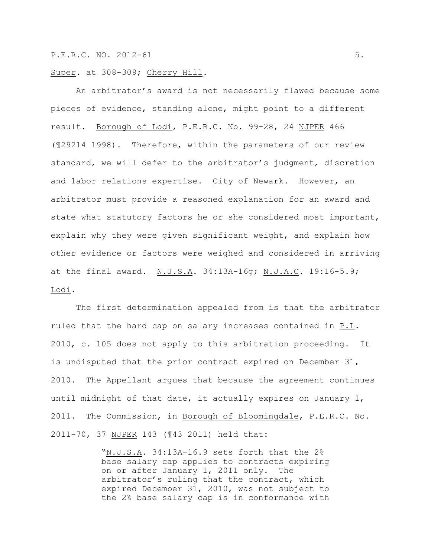Super. at 308-309; Cherry Hill.

An arbitrator's award is not necessarily flawed because some pieces of evidence, standing alone, might point to a different result. Borough of Lodi, P.E.R.C. No. 99-28, 24 NJPER 466 (¶29214 1998). Therefore, within the parameters of our review standard, we will defer to the arbitrator's judgment, discretion and labor relations expertise. City of Newark. However, an arbitrator must provide a reasoned explanation for an award and state what statutory factors he or she considered most important, explain why they were given significant weight, and explain how other evidence or factors were weighed and considered in arriving at the final award. N.J.S.A. 34:13A-16g; N.J.A.C. 19:16-5.9; Lodi.

The first determination appealed from is that the arbitrator ruled that the hard cap on salary increases contained in P.L. 2010, c. 105 does not apply to this arbitration proceeding. It is undisputed that the prior contract expired on December 31, 2010. The Appellant argues that because the agreement continues until midnight of that date, it actually expires on January 1, 2011. The Commission, in Borough of Bloomingdale, P.E.R.C. No. 2011-70, 37 NJPER 143 (¶43 2011) held that:

> "N.J.S.A. 34:13A-16.9 sets forth that the 2% base salary cap applies to contracts expiring on or after January 1, 2011 only. The arbitrator's ruling that the contract, which expired December 31, 2010, was not subject to the 2% base salary cap is in conformance with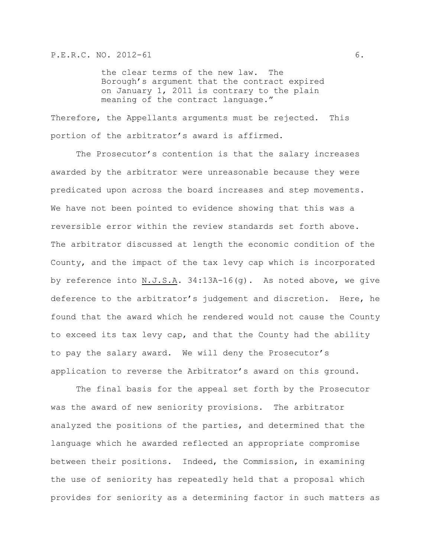the clear terms of the new law. The Borough's argument that the contract expired on January 1, 2011 is contrary to the plain meaning of the contract language."

Therefore, the Appellants arguments must be rejected. This portion of the arbitrator's award is affirmed.

The Prosecutor's contention is that the salary increases awarded by the arbitrator were unreasonable because they were predicated upon across the board increases and step movements. We have not been pointed to evidence showing that this was a reversible error within the review standards set forth above. The arbitrator discussed at length the economic condition of the County, and the impact of the tax levy cap which is incorporated by reference into N.J.S.A. 34:13A-16(g). As noted above, we give deference to the arbitrator's judgement and discretion. Here, he found that the award which he rendered would not cause the County to exceed its tax levy cap, and that the County had the ability to pay the salary award. We will deny the Prosecutor's application to reverse the Arbitrator's award on this ground.

The final basis for the appeal set forth by the Prosecutor was the award of new seniority provisions. The arbitrator analyzed the positions of the parties, and determined that the language which he awarded reflected an appropriate compromise between their positions. Indeed, the Commission, in examining the use of seniority has repeatedly held that a proposal which provides for seniority as a determining factor in such matters as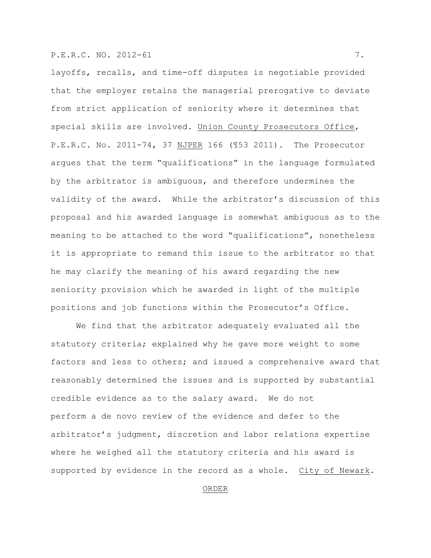# P.E.R.C. NO. 2012-61 7.

layoffs, recalls, and time-off disputes is negotiable provided that the employer retains the managerial prerogative to deviate from strict application of seniority where it determines that special skills are involved. Union County Prosecutors Office, P.E.R.C. No. 2011-74, 37 NJPER 166 (¶53 2011). The Prosecutor argues that the term "qualifications" in the language formulated by the arbitrator is ambiguous, and therefore undermines the validity of the award. While the arbitrator's discussion of this proposal and his awarded language is somewhat ambiguous as to the meaning to be attached to the word "qualifications", nonetheless it is appropriate to remand this issue to the arbitrator so that he may clarify the meaning of his award regarding the new seniority provision which he awarded in light of the multiple positions and job functions within the Prosecutor's Office.

We find that the arbitrator adequately evaluated all the statutory criteria; explained why he gave more weight to some factors and less to others; and issued a comprehensive award that reasonably determined the issues and is supported by substantial credible evidence as to the salary award. We do not perform a de novo review of the evidence and defer to the arbitrator's judgment, discretion and labor relations expertise where he weighed all the statutory criteria and his award is supported by evidence in the record as a whole. City of Newark.

# ORDER